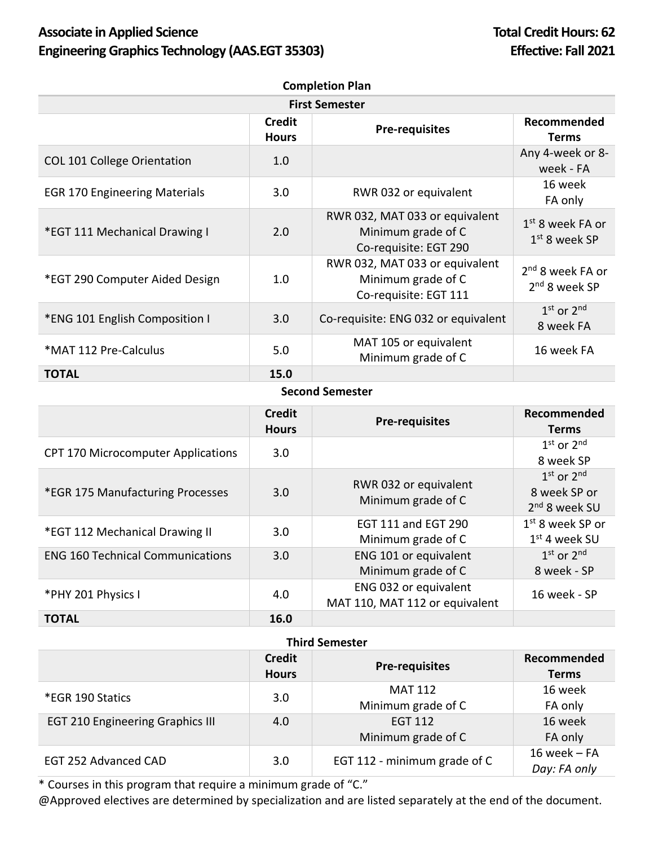# Associate in Applied Science **Total Credit Hours: 62 Engineering Graphics Technology (AAS.EGT 35303) Effective: Fall 2021**

| <b>Completion Plan</b>               |                               |                                                                               |                                                 |
|--------------------------------------|-------------------------------|-------------------------------------------------------------------------------|-------------------------------------------------|
| <b>First Semester</b>                |                               |                                                                               |                                                 |
|                                      | <b>Credit</b><br><b>Hours</b> | <b>Pre-requisites</b>                                                         | Recommended<br><b>Terms</b>                     |
| <b>COL 101 College Orientation</b>   | 1.0 <sub>2</sub>              |                                                                               | Any 4-week or 8-<br>week - FA                   |
| <b>EGR 170 Engineering Materials</b> | 3.0                           | RWR 032 or equivalent                                                         | 16 week<br>FA only                              |
| *EGT 111 Mechanical Drawing I        | 2.0                           | RWR 032, MAT 033 or equivalent<br>Minimum grade of C<br>Co-requisite: EGT 290 | $1st$ 8 week FA or<br>$1st$ 8 week SP           |
| *EGT 290 Computer Aided Design       | 1.0                           | RWR 032, MAT 033 or equivalent<br>Minimum grade of C<br>Co-requisite: EGT 111 | 2 <sup>nd</sup> 8 week FA or<br>$2nd$ 8 week SP |
| *ENG 101 English Composition I       | 3.0                           | Co-requisite: ENG 032 or equivalent                                           | $1st$ or $2nd$<br>8 week FA                     |
| *MAT 112 Pre-Calculus                | 5.0                           | MAT 105 or equivalent<br>Minimum grade of C                                   | 16 week FA                                      |
| <b>TOTAL</b>                         | 15.0                          |                                                                               |                                                 |

### **Second Semester**

|                                           | <b>Credit</b><br><b>Hours</b> | <b>Pre-requisites</b>                                   | Recommended<br><b>Terms</b>                                 |
|-------------------------------------------|-------------------------------|---------------------------------------------------------|-------------------------------------------------------------|
| <b>CPT 170 Microcomputer Applications</b> | 3.0                           |                                                         | $1st$ or $2nd$<br>8 week SP                                 |
| *EGR 175 Manufacturing Processes          | 3.0                           | RWR 032 or equivalent<br>Minimum grade of C             | $1st$ or $2nd$<br>8 week SP or<br>2 <sup>nd</sup> 8 week SU |
| *EGT 112 Mechanical Drawing II            | 3.0                           | <b>EGT 111 and EGT 290</b><br>Minimum grade of C        | $1st$ 8 week SP or<br>$1st$ 4 week SU                       |
| <b>ENG 160 Technical Communications</b>   | 3.0                           | ENG 101 or equivalent<br>Minimum grade of C             | $1st$ or $2nd$<br>8 week - SP                               |
| *PHY 201 Physics I                        | 4.0                           | ENG 032 or equivalent<br>MAT 110, MAT 112 or equivalent | 16 week - SP                                                |
| <b>TOTAL</b>                              | 16.0                          |                                                         |                                                             |

## **Third Semester**

|                                         | <b>Credit</b><br><b>Hours</b> | <b>Pre-requisites</b>        | Recommended<br><b>Terms</b>    |
|-----------------------------------------|-------------------------------|------------------------------|--------------------------------|
| *EGR 190 Statics                        | 3.0                           | <b>MAT 112</b>               | 16 week                        |
|                                         |                               | Minimum grade of C           | FA only                        |
| <b>EGT 210 Engineering Graphics III</b> | 4.0                           | <b>EGT 112</b>               | 16 week                        |
|                                         |                               | Minimum grade of C           | FA only                        |
| EGT 252 Advanced CAD                    | 3.0                           | EGT 112 - minimum grade of C | $16$ week - FA<br>Day: FA only |

\* Courses in this program that require a minimum grade of "C."

@Approved electives are determined by specialization and are listed separately at the end of the document.